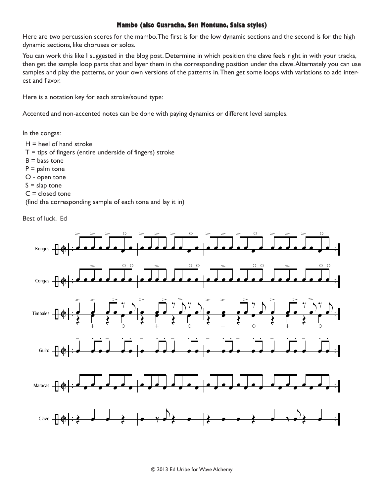## **Mambo (also Guaracha, Son Montuno, Salsa styles)**

Here are two percussion scores for the mambo. The first is for the low dynamic sections and the second is for the high dynamic sections, like choruses or solos.

You can work this like I suggested in the blog post. Determine in which position the clave feels right in with your tracks, then get the sample loop parts that and layer them in the corresponding position under the clave. Alternately you can use samples and play the patterns, or your own versions of the patterns in. Then get some loops with variations to add interest and flavor.

Here is a notation key for each stroke/sound type:

Accented and non-accented notes can be done with paying dynamics or different level samples.

In the congas:

- $H =$  heel of hand stroke
- $T = t$  ips of fingers (entire underside of fingers) stroke
- $B =$  bass tone
- $P =$  palm tone
- O open tone
- $S =$  slap tone
- $C = closed$  tone

(find the corresponding sample of each tone and lay it in)

Best of luck. Ed